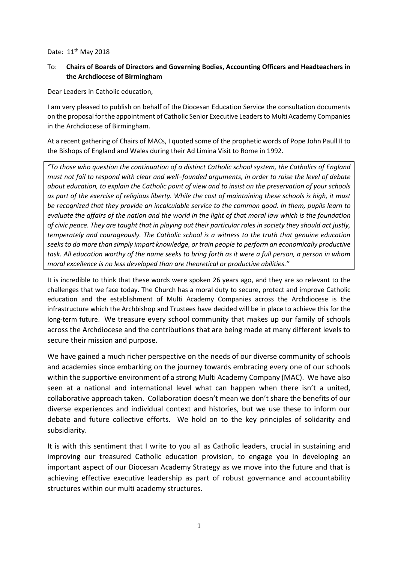## Date: 11<sup>th</sup> May 2018

## To: **Chairs of Boards of Directors and Governing Bodies, Accounting Officers and Headteachers in the Archdiocese of Birmingham**

Dear Leaders in Catholic education,

I am very pleased to publish on behalf of the Diocesan Education Service the consultation documents on the proposal for the appointment of Catholic Senior Executive Leaders to Multi Academy Companies in the Archdiocese of Birmingham.

At a recent gathering of Chairs of MACs, I quoted some of the prophetic words of Pope John Paull II to the Bishops of England and Wales during their Ad Limina Visit to Rome in 1992.

*"To those who question the continuation of a distinct Catholic school system, the Catholics of England must not fail to respond with clear and well–founded arguments, in order to raise the level of debate about education, to explain the Catholic point of view and to insist on the preservation of your schools as part of the exercise of religious liberty. While the cost of maintaining these schools is high, it must be recognized that they provide an incalculable service to the common good. In them, pupils learn to evaluate the affairs of the nation and the world in the light of that moral law which is the foundation of civic peace. They are taught that in playing out their particular roles in society they should act justly, temperately and courageously. The Catholic school is a witness to the truth that genuine education seeks to do more than simply impart knowledge, or train people to perform an economically productive task. All education worthy of the name seeks to bring forth as it were a full person, a person in whom moral excellence is no less developed than are theoretical or productive abilities."*

It is incredible to think that these words were spoken 26 years ago, and they are so relevant to the challenges that we face today. The Church has a moral duty to secure, protect and improve Catholic education and the establishment of Multi Academy Companies across the Archdiocese is the infrastructure which the Archbishop and Trustees have decided will be in place to achieve this for the long-term future. We treasure every school community that makes up our family of schools across the Archdiocese and the contributions that are being made at many different levels to secure their mission and purpose.

We have gained a much richer perspective on the needs of our diverse community of schools and academies since embarking on the journey towards embracing every one of our schools within the supportive environment of a strong Multi Academy Company (MAC). We have also seen at a national and international level what can happen when there isn't a united, collaborative approach taken. Collaboration doesn't mean we don't share the benefits of our diverse experiences and individual context and histories, but we use these to inform our debate and future collective efforts. We hold on to the key principles of solidarity and subsidiarity.

It is with this sentiment that I write to you all as Catholic leaders, crucial in sustaining and improving our treasured Catholic education provision, to engage you in developing an important aspect of our Diocesan Academy Strategy as we move into the future and that is achieving effective executive leadership as part of robust governance and accountability structures within our multi academy structures.